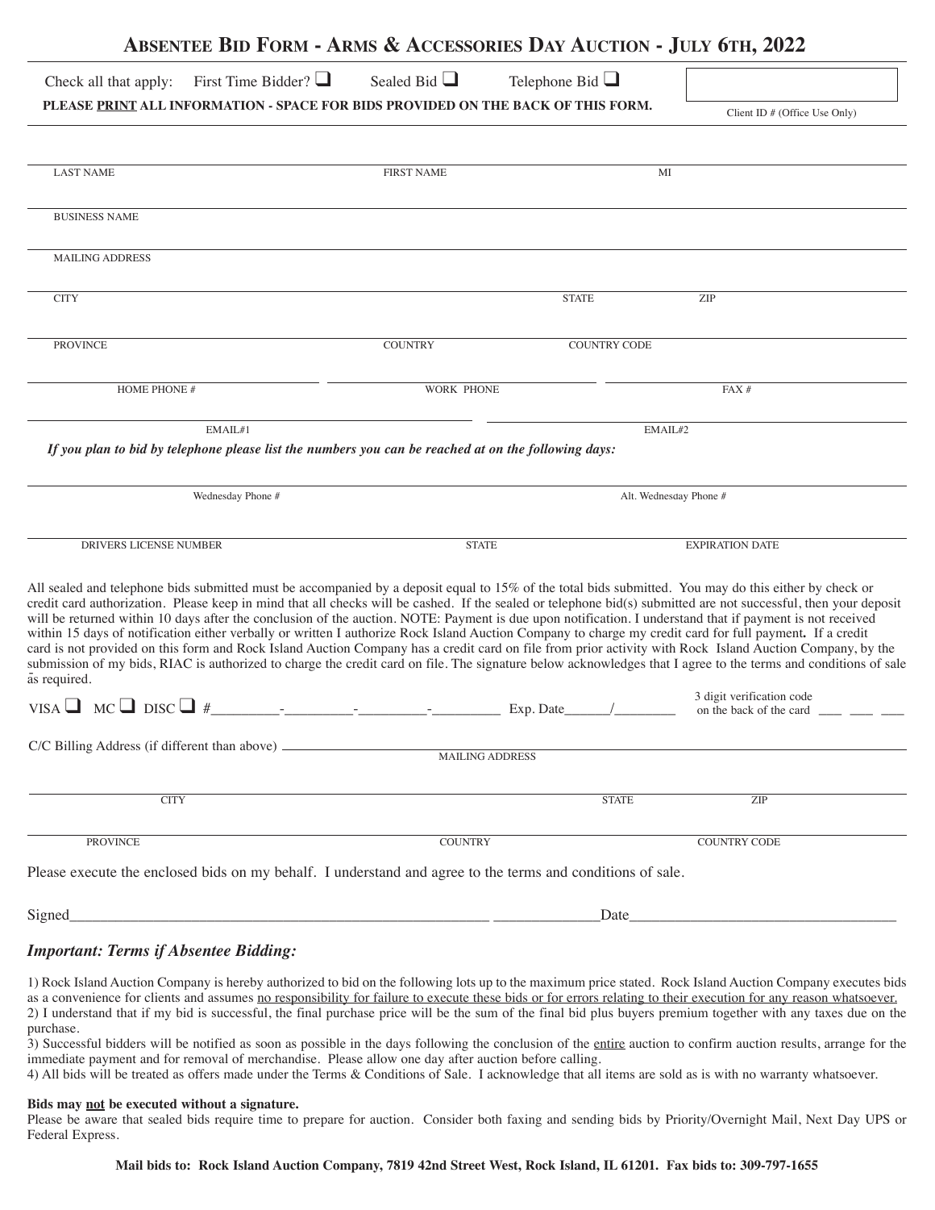|                                                                                                                                                                                                                                                                                                                                                                                                                                                                                                                                                                                                                                                                                                                                                                                                                                                                                                                                                                                                                                         | <b>ABSENTEE BID FORM - ARMS &amp; ACCESSORIES DAY AUCTION - JULY 6TH, 2022</b>                                         |                                   |                                                      |  |  |
|-----------------------------------------------------------------------------------------------------------------------------------------------------------------------------------------------------------------------------------------------------------------------------------------------------------------------------------------------------------------------------------------------------------------------------------------------------------------------------------------------------------------------------------------------------------------------------------------------------------------------------------------------------------------------------------------------------------------------------------------------------------------------------------------------------------------------------------------------------------------------------------------------------------------------------------------------------------------------------------------------------------------------------------------|------------------------------------------------------------------------------------------------------------------------|-----------------------------------|------------------------------------------------------|--|--|
| First Time Bidder? $\Box$<br>Check all that apply:                                                                                                                                                                                                                                                                                                                                                                                                                                                                                                                                                                                                                                                                                                                                                                                                                                                                                                                                                                                      | Sealed Bid $\Box$                                                                                                      | Telephone Bid $\Box$              |                                                      |  |  |
| PLEASE PRINT ALL INFORMATION - SPACE FOR BIDS PROVIDED ON THE BACK OF THIS FORM.                                                                                                                                                                                                                                                                                                                                                                                                                                                                                                                                                                                                                                                                                                                                                                                                                                                                                                                                                        |                                                                                                                        |                                   | Client ID $#$ (Office Use Only)                      |  |  |
| <b>LAST NAME</b>                                                                                                                                                                                                                                                                                                                                                                                                                                                                                                                                                                                                                                                                                                                                                                                                                                                                                                                                                                                                                        | <b>FIRST NAME</b>                                                                                                      | MI                                |                                                      |  |  |
| <b>BUSINESS NAME</b>                                                                                                                                                                                                                                                                                                                                                                                                                                                                                                                                                                                                                                                                                                                                                                                                                                                                                                                                                                                                                    |                                                                                                                        |                                   |                                                      |  |  |
| <b>MAILING ADDRESS</b>                                                                                                                                                                                                                                                                                                                                                                                                                                                                                                                                                                                                                                                                                                                                                                                                                                                                                                                                                                                                                  |                                                                                                                        |                                   |                                                      |  |  |
| <b>CITY</b>                                                                                                                                                                                                                                                                                                                                                                                                                                                                                                                                                                                                                                                                                                                                                                                                                                                                                                                                                                                                                             |                                                                                                                        | <b>STATE</b>                      | ZIP                                                  |  |  |
| <b>PROVINCE</b>                                                                                                                                                                                                                                                                                                                                                                                                                                                                                                                                                                                                                                                                                                                                                                                                                                                                                                                                                                                                                         | <b>COUNTRY</b>                                                                                                         | <b>COUNTRY CODE</b>               |                                                      |  |  |
| HOME PHONE #                                                                                                                                                                                                                                                                                                                                                                                                                                                                                                                                                                                                                                                                                                                                                                                                                                                                                                                                                                                                                            | <b>WORK PHONE</b>                                                                                                      | FAX#                              |                                                      |  |  |
| EMAIL#1<br>If you plan to bid by telephone please list the numbers you can be reached at on the following days:<br>Wednesday Phone #                                                                                                                                                                                                                                                                                                                                                                                                                                                                                                                                                                                                                                                                                                                                                                                                                                                                                                    |                                                                                                                        | EMAIL#2<br>Alt. Wednesday Phone # |                                                      |  |  |
|                                                                                                                                                                                                                                                                                                                                                                                                                                                                                                                                                                                                                                                                                                                                                                                                                                                                                                                                                                                                                                         |                                                                                                                        |                                   |                                                      |  |  |
| DRIVERS LICENSE NUMBER                                                                                                                                                                                                                                                                                                                                                                                                                                                                                                                                                                                                                                                                                                                                                                                                                                                                                                                                                                                                                  | <b>STATE</b>                                                                                                           |                                   | <b>EXPIRATION DATE</b>                               |  |  |
| All sealed and telephone bids submitted must be accompanied by a deposit equal to 15% of the total bids submitted. You may do this either by check or<br>credit card authorization. Please keep in mind that all checks will be cashed. If the sealed or telephone bid(s) submitted are not successful, then your deposit<br>will be returned within 10 days after the conclusion of the auction. NOTE: Payment is due upon notification. I understand that if payment is not received<br>within 15 days of notification either verbally or written I authorize Rock Island Auction Company to charge my credit card for full payment. If a credit<br>card is not provided on this form and Rock Island Auction Company has a credit card on file from prior activity with Rock Island Auction Company, by the<br>submission of my bids, RIAC is authorized to charge the credit card on file. The signature below acknowledges that I agree to the terms and conditions of sale<br>as required.<br>VISA $\Box$ MC $\Box$ DISC $\Box$ # |                                                                                                                        | Exp. Date                         | 3 digit verification code<br>on the back of the card |  |  |
| C/C Billing Address (if different than above) __________________________________                                                                                                                                                                                                                                                                                                                                                                                                                                                                                                                                                                                                                                                                                                                                                                                                                                                                                                                                                        | <b>MAILING ADDRESS</b>                                                                                                 |                                   |                                                      |  |  |
| <b>CITY</b>                                                                                                                                                                                                                                                                                                                                                                                                                                                                                                                                                                                                                                                                                                                                                                                                                                                                                                                                                                                                                             |                                                                                                                        | <b>STATE</b>                      | ZIP                                                  |  |  |
| <b>PROVINCE</b>                                                                                                                                                                                                                                                                                                                                                                                                                                                                                                                                                                                                                                                                                                                                                                                                                                                                                                                                                                                                                         | <b>COUNTRY</b>                                                                                                         |                                   | <b>COUNTRY CODE</b>                                  |  |  |
| Please execute the enclosed bids on my behalf. I understand and agree to the terms and conditions of sale.                                                                                                                                                                                                                                                                                                                                                                                                                                                                                                                                                                                                                                                                                                                                                                                                                                                                                                                              |                                                                                                                        |                                   |                                                      |  |  |
| Signed_                                                                                                                                                                                                                                                                                                                                                                                                                                                                                                                                                                                                                                                                                                                                                                                                                                                                                                                                                                                                                                 | <u> 2000 - Jan Barnett, mars ann an t-Amhraid ann an t-Amhraid ann an t-Amhraid ann an t-Amhraid ann an t-Amhraid </u> | Date_                             |                                                      |  |  |
|                                                                                                                                                                                                                                                                                                                                                                                                                                                                                                                                                                                                                                                                                                                                                                                                                                                                                                                                                                                                                                         |                                                                                                                        |                                   |                                                      |  |  |

## *Important: Terms if Absentee Bidding:*

1) Rock Island Auction Company is hereby authorized to bid on the following lots up to the maximum price stated. Rock Island Auction Company executes bids as a convenience for clients and assumes no responsibility for failure to execute these bids or for errors relating to their execution for any reason whatsoever. 2) I understand that if my bid is successful, the final purchase price will be the sum of the final bid plus buyers premium together with any taxes due on the purchase.

3) Successful bidders will be notified as soon as possible in the days following the conclusion of the entire auction to confirm auction results, arrange for the immediate payment and for removal of merchandise. Please allow one day after auction before calling.

4) All bids will be treated as offers made under the Terms & Conditions of Sale. I acknowledge that all items are sold as is with no warranty whatsoever.

## **Bids may not be executed without a signature.**

Please be aware that sealed bids require time to prepare for auction. Consider both faxing and sending bids by Priority/Overnight Mail, Next Day UPS or Federal Express.